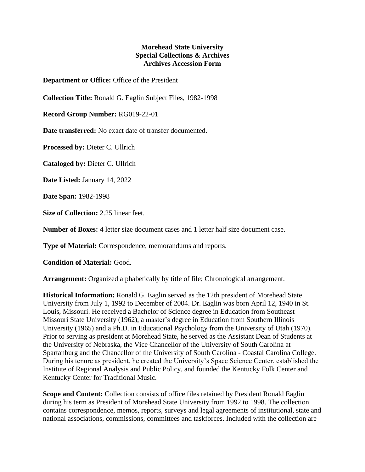## **Morehead State University Special Collections & Archives Archives Accession Form**

**Department or Office:** Office of the President

**Collection Title:** Ronald G. Eaglin Subject Files, 1982-1998

**Record Group Number:** RG019-22-01

**Date transferred:** No exact date of transfer documented.

**Processed by:** Dieter C. Ullrich

**Cataloged by:** Dieter C. Ullrich

**Date Listed:** January 14, 2022

**Date Span:** 1982-1998

**Size of Collection:** 2.25 linear feet.

**Number of Boxes:** 4 letter size document cases and 1 letter half size document case.

**Type of Material:** Correspondence, memorandums and reports.

**Condition of Material:** Good.

**Arrangement:** Organized alphabetically by title of file; Chronological arrangement.

**Historical Information:** Ronald G. Eaglin served as the 12th president of Morehead State University from July 1, 1992 to December of 2004. Dr. Eaglin was born April 12, 1940 in St. Louis, Missouri. He received a Bachelor of Science degree in Education from Southeast Missouri State University (1962), a master's degree in Education from Southern Illinois University (1965) and a Ph.D. in Educational Psychology from the University of Utah (1970). Prior to serving as president at Morehead State, he served as the Assistant Dean of Students at the University of Nebraska, the Vice Chancellor of the University of South Carolina at Spartanburg and the Chancellor of the University of South Carolina - Coastal Carolina College. During his tenure as president, he created the University's Space Science Center, established the Institute of Regional Analysis and Public Policy, and founded the Kentucky Folk Center and Kentucky Center for Traditional Music.

**Scope and Content:** Collection consists of office files retained by President Ronald Eaglin during his term as President of Morehead State University from 1992 to 1998. The collection contains correspondence, memos, reports, surveys and legal agreements of institutional, state and national associations, commissions, committees and taskforces. Included with the collection are